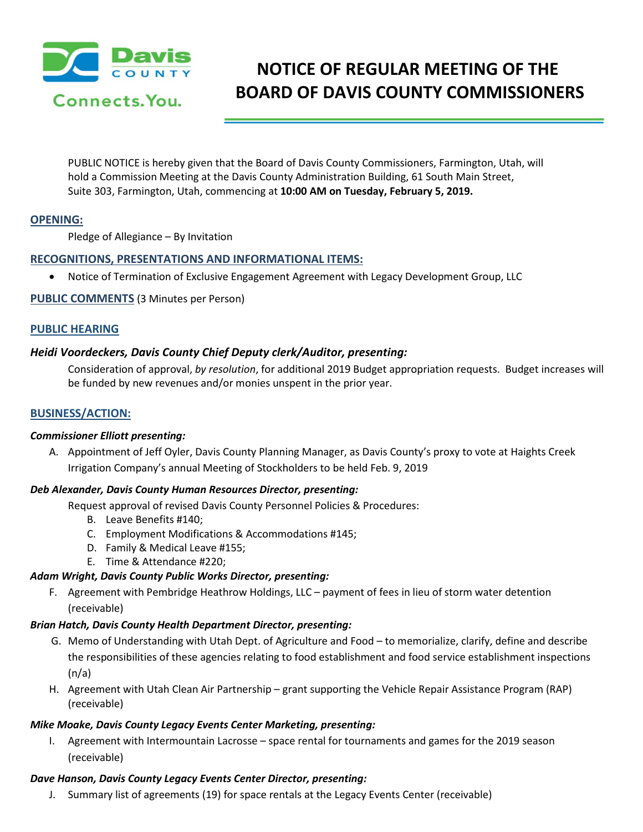

# **NOTICE OF REGULAR MEETING OF THE BOARD OF DAVIS COUNTY COMMISSIONERS**

PUBLIC NOTICE is hereby given that the Board of Davis County Commissioners, Farmington, Utah, will hold a Commission Meeting at the Davis County Administration Building, 61 South Main Street, Suite 303, Farmington, Utah, commencing at **10:00 AM on Tuesday, February 5, 2019.**

## **OPENING:**

Pledge of Allegiance – By Invitation

## **RECOGNITIONS, PRESENTATIONS AND INFORMATIONAL ITEMS:**

• Notice of Termination of Exclusive Engagement Agreement with Legacy Development Group, LLC

**PUBLIC COMMENTS** (3 Minutes per Person)

#### **PUBLIC HEARING**

## *Heidi Voordeckers, Davis County Chief Deputy clerk/Auditor, presenting:*

Consideration of approval, *by resolution*, for additional 2019 Budget appropriation requests. Budget increases will be funded by new revenues and/or monies unspent in the prior year.

### **BUSINESS/ACTION:**

#### *Commissioner Elliott presenting:*

A. Appointment of Jeff Oyler, Davis County Planning Manager, as Davis County's proxy to vote at Haights Creek Irrigation Company's annual Meeting of Stockholders to be held Feb. 9, 2019

#### *Deb Alexander, Davis County Human Resources Director, presenting:*

Request approval of revised Davis County Personnel Policies & Procedures:

- B. Leave Benefits #140;
- C. Employment Modifications & Accommodations #145;
- D. Family & Medical Leave #155;
- E. Time & Attendance #220;

#### *Adam Wright, Davis County Public Works Director, presenting:*

F. Agreement with Pembridge Heathrow Holdings, LLC – payment of fees in lieu of storm water detention (receivable)

#### *Brian Hatch, Davis County Health Department Director, presenting:*

- G. Memo of Understanding with Utah Dept. of Agriculture and Food to memorialize, clarify, define and describe the responsibilities of these agencies relating to food establishment and food service establishment inspections  $(n/a)$
- H. Agreement with Utah Clean Air Partnership grant supporting the Vehicle Repair Assistance Program (RAP) (receivable)

#### *Mike Moake, Davis County Legacy Events Center Marketing, presenting:*

I. Agreement with Intermountain Lacrosse – space rental for tournaments and games for the 2019 season (receivable)

#### *Dave Hanson, Davis County Legacy Events Center Director, presenting:*

J. Summary list of agreements (19) for space rentals at the Legacy Events Center (receivable)